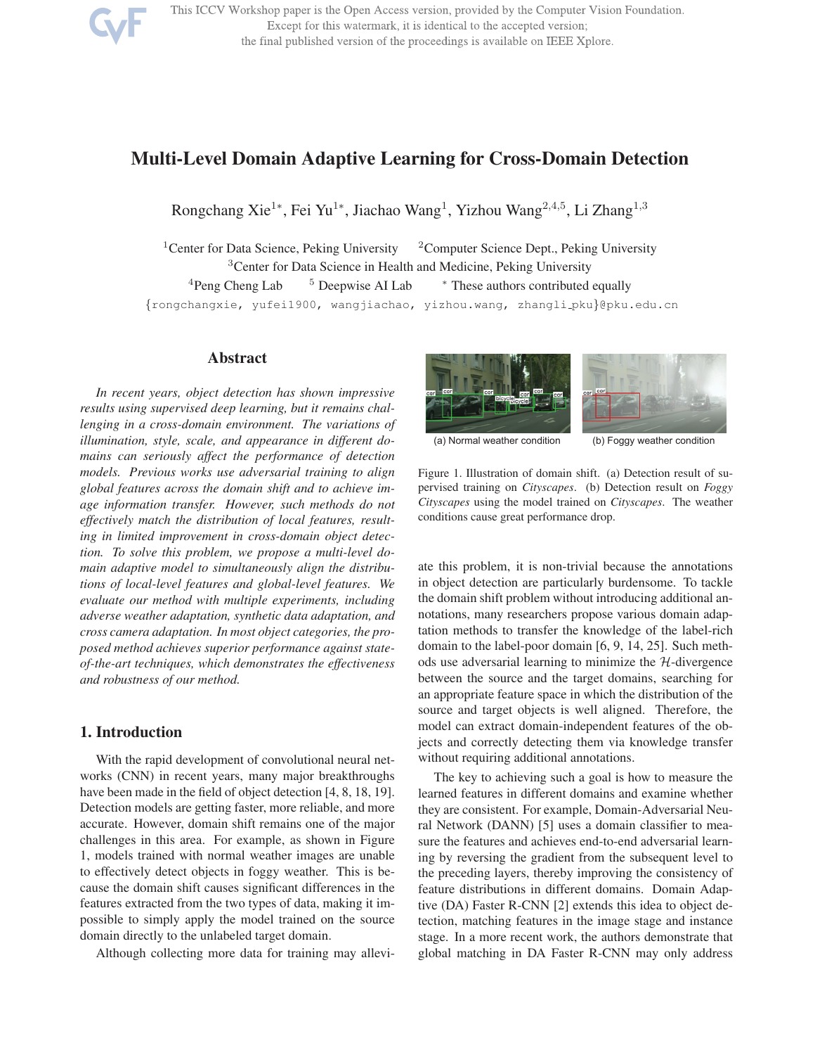

This ICCV Workshop paper is the Open Access version, provided by the Computer Vision Foundation. Except for this watermark, it is identical to the accepted version; the final published version of the proceedings is available on IEEE Xplore.

# Multi-Level Domain Adaptive Learning for Cross-Domain Detection

Rongchang Xie<sup>1</sup>\*, Fei Yu<sup>1</sup>\*, Jiachao Wang<sup>1</sup>, Yizhou Wang<sup>2,4,5</sup>, Li Zhang<sup>1,3</sup>

<sup>1</sup> Center for Data Science, Peking University  $2$  Computer Science Dept., Peking University <sup>3</sup> Center for Data Science in Health and Medicine, Peking University  $4$ Peng Cheng Lab  $5$  Deepwise AI Lab  $*$  These authors contributed equally {rongchangxie, yufei1900, wangjiachao, yizhou.wang, zhangli pku}@pku.edu.cn

## Abstract

*In recent years, object detection has shown impressive results using supervised deep learning, but it remains challenging in a cross-domain environment. The variations of illumination, style, scale, and appearance in different domains can seriously affect the performance of detection models. Previous works use adversarial training to align global features across the domain shift and to achieve image information transfer. However, such methods do not effectively match the distribution of local features, resulting in limited improvement in cross-domain object detection. To solve this problem, we propose a multi-level domain adaptive model to simultaneously align the distributions of local-level features and global-level features. We evaluate our method with multiple experiments, including adverse weather adaptation, synthetic data adaptation, and cross camera adaptation. In most object categories, the proposed method achieves superior performance against stateof-the-art techniques, which demonstrates the effectiveness and robustness of our method.*

# 1. Introduction

With the rapid development of convolutional neural networks (CNN) in recent years, many major breakthroughs have been made in the field of object detection [4, 8, 18, 19]. Detection models are getting faster, more reliable, and more accurate. However, domain shift remains one of the major challenges in this area. For example, as shown in Figure 1, models trained with normal weather images are unable to effectively detect objects in foggy weather. This is because the domain shift causes significant differences in the features extracted from the two types of data, making it impossible to simply apply the model trained on the source domain directly to the unlabeled target domain.

Although collecting more data for training may allevi-



(a) Normal weather condition (b) Foggy weather condition



ate this problem, it is non-trivial because the annotations in object detection are particularly burdensome. To tackle the domain shift problem without introducing additional annotations, many researchers propose various domain adaptation methods to transfer the knowledge of the label-rich domain to the label-poor domain [6, 9, 14, 25]. Such methods use adversarial learning to minimize the  $H$ -divergence between the source and the target domains, searching for an appropriate feature space in which the distribution of the source and target objects is well aligned. Therefore, the model can extract domain-independent features of the objects and correctly detecting them via knowledge transfer without requiring additional annotations.

The key to achieving such a goal is how to measure the learned features in different domains and examine whether they are consistent. For example, Domain-Adversarial Neural Network (DANN) [5] uses a domain classifier to measure the features and achieves end-to-end adversarial learning by reversing the gradient from the subsequent level to the preceding layers, thereby improving the consistency of feature distributions in different domains. Domain Adaptive (DA) Faster R-CNN [2] extends this idea to object detection, matching features in the image stage and instance stage. In a more recent work, the authors demonstrate that global matching in DA Faster R-CNN may only address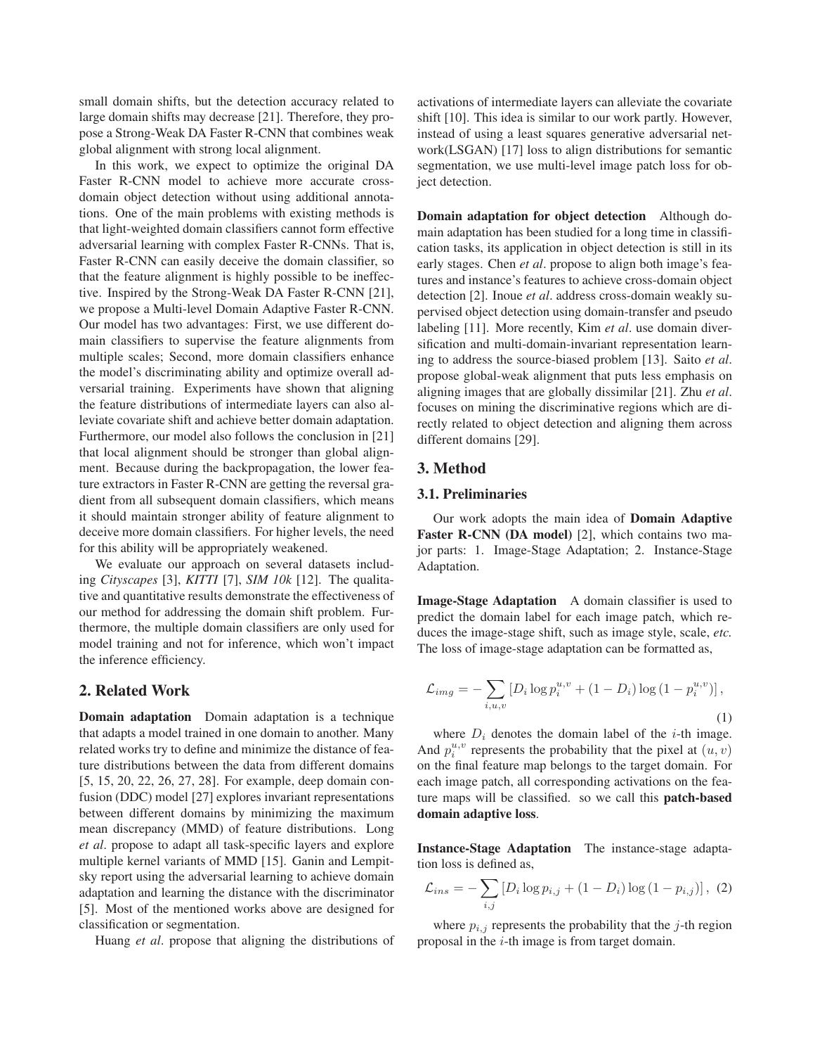small domain shifts, but the detection accuracy related to large domain shifts may decrease [21]. Therefore, they propose a Strong-Weak DA Faster R-CNN that combines weak global alignment with strong local alignment.

In this work, we expect to optimize the original DA Faster R-CNN model to achieve more accurate crossdomain object detection without using additional annotations. One of the main problems with existing methods is that light-weighted domain classifiers cannot form effective adversarial learning with complex Faster R-CNNs. That is, Faster R-CNN can easily deceive the domain classifier, so that the feature alignment is highly possible to be ineffective. Inspired by the Strong-Weak DA Faster R-CNN [21], we propose a Multi-level Domain Adaptive Faster R-CNN. Our model has two advantages: First, we use different domain classifiers to supervise the feature alignments from multiple scales; Second, more domain classifiers enhance the model's discriminating ability and optimize overall adversarial training. Experiments have shown that aligning the feature distributions of intermediate layers can also alleviate covariate shift and achieve better domain adaptation. Furthermore, our model also follows the conclusion in [21] that local alignment should be stronger than global alignment. Because during the backpropagation, the lower feature extractors in Faster R-CNN are getting the reversal gradient from all subsequent domain classifiers, which means it should maintain stronger ability of feature alignment to deceive more domain classifiers. For higher levels, the need for this ability will be appropriately weakened.

We evaluate our approach on several datasets including *Cityscapes* [3], *KITTI* [7], *SIM 10k* [12]. The qualitative and quantitative results demonstrate the effectiveness of our method for addressing the domain shift problem. Furthermore, the multiple domain classifiers are only used for model training and not for inference, which won't impact the inference efficiency.

## 2. Related Work

Domain adaptation Domain adaptation is a technique that adapts a model trained in one domain to another. Many related works try to define and minimize the distance of feature distributions between the data from different domains [5, 15, 20, 22, 26, 27, 28]. For example, deep domain confusion (DDC) model [27] explores invariant representations between different domains by minimizing the maximum mean discrepancy (MMD) of feature distributions. Long *et al*. propose to adapt all task-specific layers and explore multiple kernel variants of MMD [15]. Ganin and Lempitsky report using the adversarial learning to achieve domain adaptation and learning the distance with the discriminator [5]. Most of the mentioned works above are designed for classification or segmentation.

Huang *et al*. propose that aligning the distributions of

activations of intermediate layers can alleviate the covariate shift [10]. This idea is similar to our work partly. However, instead of using a least squares generative adversarial network(LSGAN) [17] loss to align distributions for semantic segmentation, we use multi-level image patch loss for object detection.

Domain adaptation for object detection Although domain adaptation has been studied for a long time in classification tasks, its application in object detection is still in its early stages. Chen *et al*. propose to align both image's features and instance's features to achieve cross-domain object detection [2]. Inoue *et al*. address cross-domain weakly supervised object detection using domain-transfer and pseudo labeling [11]. More recently, Kim *et al*. use domain diversification and multi-domain-invariant representation learning to address the source-biased problem [13]. Saito *et al*. propose global-weak alignment that puts less emphasis on aligning images that are globally dissimilar [21]. Zhu *et al*. focuses on mining the discriminative regions which are directly related to object detection and aligning them across different domains [29].

## 3. Method

## 3.1. Preliminaries

Our work adopts the main idea of Domain Adaptive Faster R-CNN (DA model) [2], which contains two major parts: 1. Image-Stage Adaptation; 2. Instance-Stage Adaptation.

Image-Stage Adaptation A domain classifier is used to predict the domain label for each image patch, which reduces the image-stage shift, such as image style, scale, *etc.* The loss of image-stage adaptation can be formatted as,

$$
\mathcal{L}_{img} = -\sum_{i,u,v} \left[ D_i \log p_i^{u,v} + (1 - D_i) \log \left( 1 - p_i^{u,v} \right) \right],\tag{1}
$$

where  $D_i$  denotes the domain label of the *i*-th image. And  $p_i^{u,v}$  represents the probability that the pixel at  $(u, v)$ on the final feature map belongs to the target domain. For each image patch, all corresponding activations on the feature maps will be classified. so we call this patch-based domain adaptive loss.

Instance-Stage Adaptation The instance-stage adaptation loss is defined as,

$$
\mathcal{L}_{ins} = -\sum_{i,j} \left[ D_i \log p_{i,j} + (1 - D_i) \log (1 - p_{i,j}) \right], (2)
$$

where  $p_{i,j}$  represents the probability that the j-th region proposal in the  $i$ -th image is from target domain.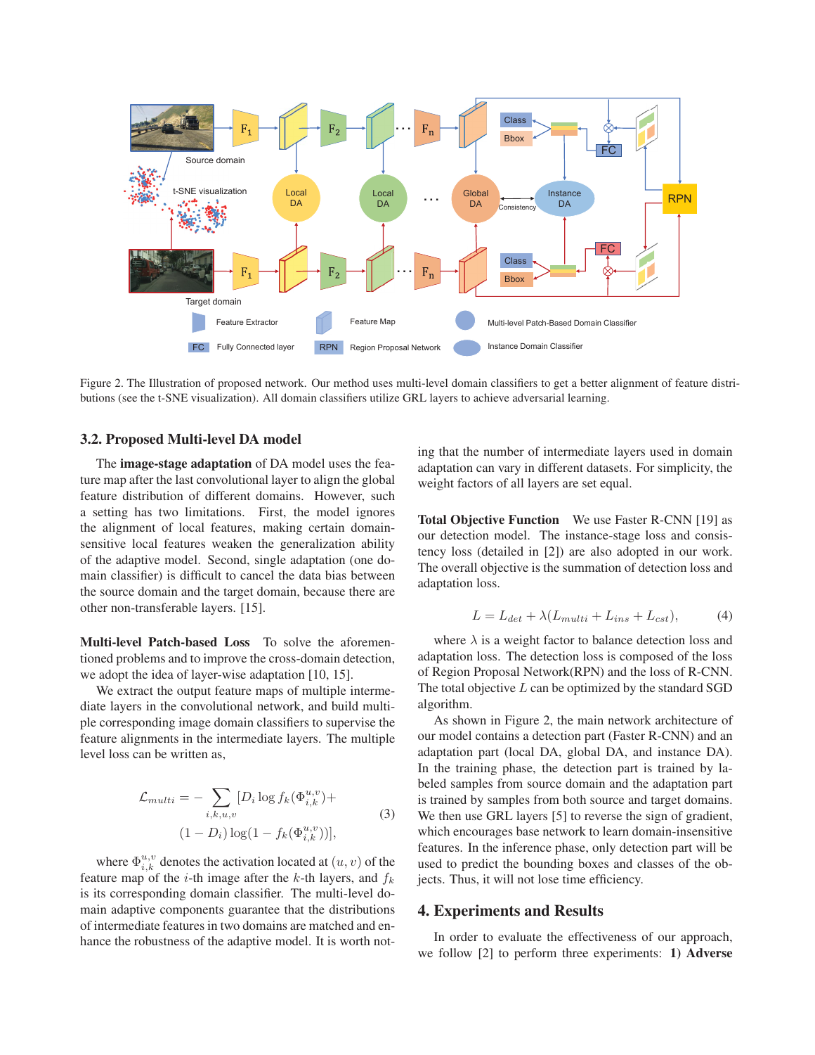

Figure 2. The Illustration of proposed network. Our method uses multi-level domain classifiers to get a better alignment of feature distributions (see the t-SNE visualization). All domain classifiers utilize GRL layers to achieve adversarial learning.

## 3.2. Proposed Multi-level DA model

The image-stage adaptation of DA model uses the feature map after the last convolutional layer to align the global feature distribution of different domains. However, such a setting has two limitations. First, the model ignores the alignment of local features, making certain domainsensitive local features weaken the generalization ability of the adaptive model. Second, single adaptation (one domain classifier) is difficult to cancel the data bias between the source domain and the target domain, because there are other non-transferable layers. [15].

Multi-level Patch-based Loss To solve the aforementioned problems and to improve the cross-domain detection, we adopt the idea of layer-wise adaptation [10, 15].

We extract the output feature maps of multiple intermediate layers in the convolutional network, and build multiple corresponding image domain classifiers to supervise the feature alignments in the intermediate layers. The multiple level loss can be written as,

$$
\mathcal{L}_{multi} = -\sum_{i,k,u,v} [D_i \log f_k(\Phi_{i,k}^{u,v}) + (1 - D_i) \log(1 - f_k(\Phi_{i,k}^{u,v}))],
$$
\n(3)

where  $\Phi_{i,k}^{u,v}$  denotes the activation located at  $(u, v)$  of the feature map of the *i*-th image after the *k*-th layers, and  $f_k$ is its corresponding domain classifier. The multi-level domain adaptive components guarantee that the distributions of intermediate features in two domains are matched and enhance the robustness of the adaptive model. It is worth noting that the number of intermediate layers used in domain adaptation can vary in different datasets. For simplicity, the weight factors of all layers are set equal.

Total Objective Function We use Faster R-CNN [19] as our detection model. The instance-stage loss and consistency loss (detailed in [2]) are also adopted in our work. The overall objective is the summation of detection loss and adaptation loss.

$$
L = L_{det} + \lambda (L_{multi} + L_{ins} + L_{cst}), \tag{4}
$$

where  $\lambda$  is a weight factor to balance detection loss and adaptation loss. The detection loss is composed of the loss of Region Proposal Network(RPN) and the loss of R-CNN. The total objective  $L$  can be optimized by the standard SGD algorithm.

As shown in Figure 2, the main network architecture of our model contains a detection part (Faster R-CNN) and an adaptation part (local DA, global DA, and instance DA). In the training phase, the detection part is trained by labeled samples from source domain and the adaptation part is trained by samples from both source and target domains. We then use GRL layers [5] to reverse the sign of gradient, which encourages base network to learn domain-insensitive features. In the inference phase, only detection part will be used to predict the bounding boxes and classes of the objects. Thus, it will not lose time efficiency.

### 4. Experiments and Results

In order to evaluate the effectiveness of our approach, we follow [2] to perform three experiments: 1) Adverse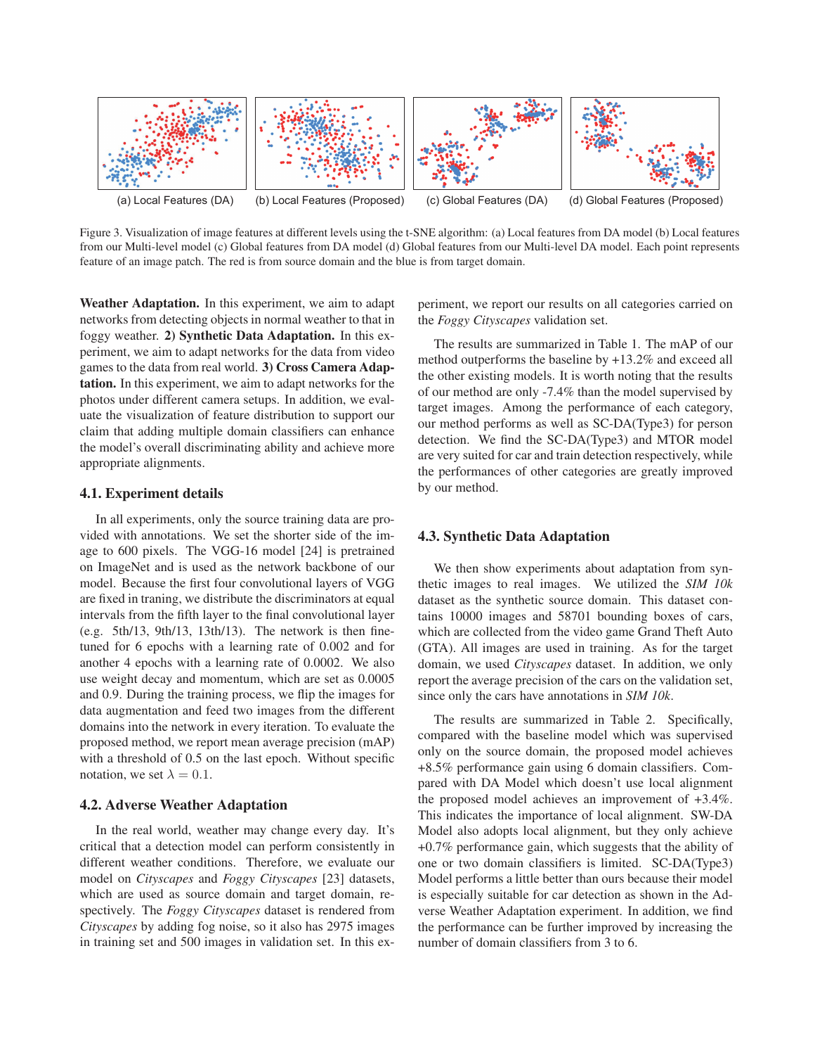

Figure 3. Visualization of image features at different levels using the t-SNE algorithm: (a) Local features from DA model (b) Local features from our Multi-level model (c) Global features from DA model (d) Global features from our Multi-level DA model. Each point represents feature of an image patch. The red is from source domain and the blue is from target domain.

Weather Adaptation. In this experiment, we aim to adapt networks from detecting objects in normal weather to that in foggy weather. 2) Synthetic Data Adaptation. In this experiment, we aim to adapt networks for the data from video games to the data from real world. 3) Cross Camera Adaptation. In this experiment, we aim to adapt networks for the photos under different camera setups. In addition, we evaluate the visualization of feature distribution to support our claim that adding multiple domain classifiers can enhance the model's overall discriminating ability and achieve more appropriate alignments.

#### 4.1. Experiment details

In all experiments, only the source training data are provided with annotations. We set the shorter side of the image to 600 pixels. The VGG-16 model [24] is pretrained on ImageNet and is used as the network backbone of our model. Because the first four convolutional layers of VGG are fixed in traning, we distribute the discriminators at equal intervals from the fifth layer to the final convolutional layer (e.g. 5th/13, 9th/13, 13th/13). The network is then finetuned for 6 epochs with a learning rate of 0.002 and for another 4 epochs with a learning rate of 0.0002. We also use weight decay and momentum, which are set as 0.0005 and 0.9. During the training process, we flip the images for data augmentation and feed two images from the different domains into the network in every iteration. To evaluate the proposed method, we report mean average precision (mAP) with a threshold of 0.5 on the last epoch. Without specific notation, we set  $\lambda = 0.1$ .

## 4.2. Adverse Weather Adaptation

In the real world, weather may change every day. It's critical that a detection model can perform consistently in different weather conditions. Therefore, we evaluate our model on *Cityscapes* and *Foggy Cityscapes* [23] datasets, which are used as source domain and target domain, respectively. The *Foggy Cityscapes* dataset is rendered from *Cityscapes* by adding fog noise, so it also has 2975 images in training set and 500 images in validation set. In this experiment, we report our results on all categories carried on the *Foggy Cityscapes* validation set.

The results are summarized in Table 1. The mAP of our method outperforms the baseline by +13.2% and exceed all the other existing models. It is worth noting that the results of our method are only -7.4% than the model supervised by target images. Among the performance of each category, our method performs as well as SC-DA(Type3) for person detection. We find the SC-DA(Type3) and MTOR model are very suited for car and train detection respectively, while the performances of other categories are greatly improved by our method.

#### 4.3. Synthetic Data Adaptation

We then show experiments about adaptation from synthetic images to real images. We utilized the *SIM 10k* dataset as the synthetic source domain. This dataset contains 10000 images and 58701 bounding boxes of cars, which are collected from the video game Grand Theft Auto (GTA). All images are used in training. As for the target domain, we used *Cityscapes* dataset. In addition, we only report the average precision of the cars on the validation set, since only the cars have annotations in *SIM 10k*.

The results are summarized in Table 2. Specifically, compared with the baseline model which was supervised only on the source domain, the proposed model achieves +8.5% performance gain using 6 domain classifiers. Compared with DA Model which doesn't use local alignment the proposed model achieves an improvement of +3.4%. This indicates the importance of local alignment. SW-DA Model also adopts local alignment, but they only achieve +0.7% performance gain, which suggests that the ability of one or two domain classifiers is limited. SC-DA(Type3) Model performs a little better than ours because their model is especially suitable for car detection as shown in the Adverse Weather Adaptation experiment. In addition, we find the performance can be further improved by increasing the number of domain classifiers from 3 to 6.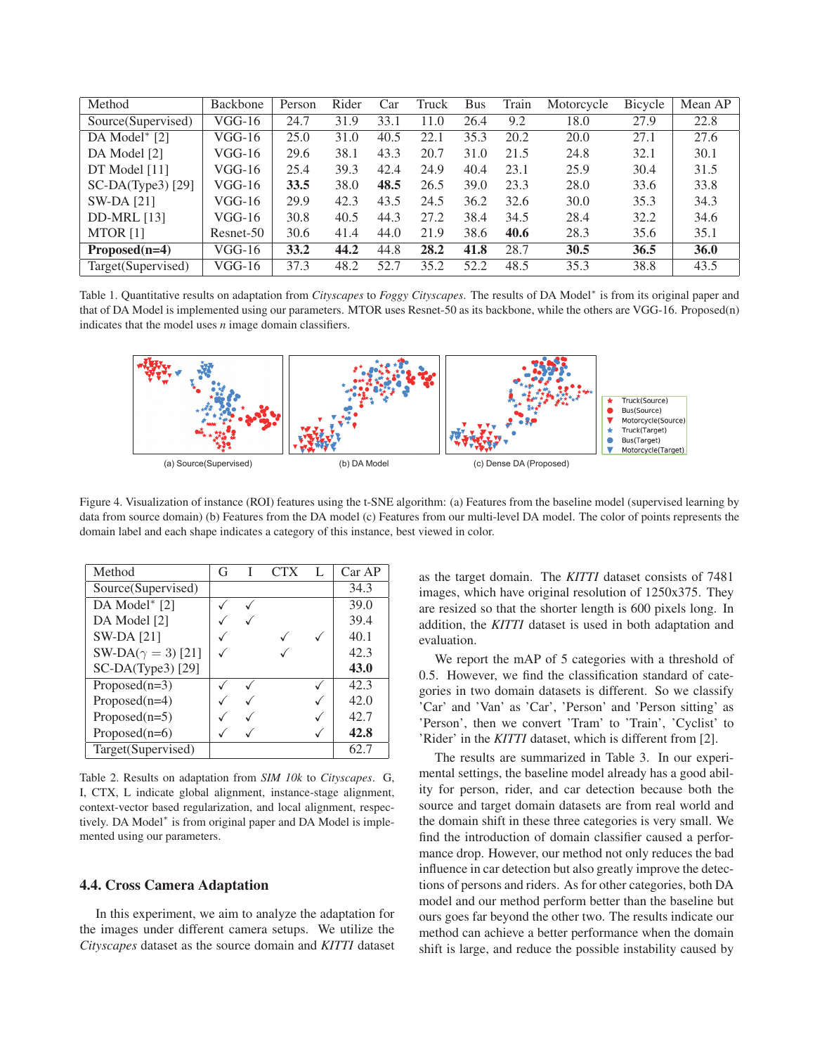| Method              | Backbone  | Person | Rider | Car  | Truck | <b>Bus</b> | Train | Motorcycle | Bicycle | Mean AP     |
|---------------------|-----------|--------|-------|------|-------|------------|-------|------------|---------|-------------|
| Source(Supervised)  | VGG-16    | 24.7   | 31.9  | 33.1 | 11.0  | 26.4       | 9.2   | 18.0       | 27.9    | 22.8        |
| DA Model $*$ [2]    | $VGG-16$  | 25.0   | 31.0  | 40.5 | 22.1  | 35.3       | 20.2  | 20.0       | 27.1    | 27.6        |
| DA Model [2]        | VGG-16    | 29.6   | 38.1  | 43.3 | 20.7  | 31.0       | 21.5  | 24.8       | 32.1    | 30.1        |
| DT Model [11]       | VGG-16    | 25.4   | 39.3  | 42.4 | 24.9  | 40.4       | 23.1  | 25.9       | 30.4    | 31.5        |
| $SC-DA(Type3)$ [29] | VGG-16    | 33.5   | 38.0  | 48.5 | 26.5  | 39.0       | 23.3  | 28.0       | 33.6    | 33.8        |
| $SW-DA$ [21]        | VGG-16    | 29.9   | 42.3  | 43.5 | 24.5  | 36.2       | 32.6  | 30.0       | 35.3    | 34.3        |
| <b>DD-MRL</b> [13]  | $VGG-16$  | 30.8   | 40.5  | 44.3 | 27.2  | 38.4       | 34.5  | 28.4       | 32.2    | 34.6        |
| MTOR <sub>[1]</sub> | Resnet-50 | 30.6   | 41.4  | 44.0 | 21.9  | 38.6       | 40.6  | 28.3       | 35.6    | 35.1        |
| $Proposed(n=4)$     | VGG-16    | 33.2   | 44.2  | 44.8 | 28.2  | 41.8       | 28.7  | 30.5       | 36.5    | <b>36.0</b> |
| Target (Supervised) | VGG-16    | 37.3   | 48.2  | 52.7 | 35.2  | 52.2       | 48.5  | 35.3       | 38.8    | 43.5        |

Table 1. Quantitative results on adaptation from *Cityscapes* to *Foggy Cityscapes*. The results of DA Model<sup>∗</sup> is from its original paper and that of DA Model is implemented using our parameters. MTOR uses Resnet-50 as its backbone, while the others are VGG-16. Proposed(n) indicates that the model uses *n* image domain classifiers.



Figure 4. Visualization of instance (ROI) features using the t-SNE algorithm: (a) Features from the baseline model (supervised learning by data from source domain) (b) Features from the DA model (c) Features from our multi-level DA model. The color of points represents the domain label and each shape indicates a category of this instance, best viewed in color.

| Method                     | G | <b>CTX</b> | L | CarAP |
|----------------------------|---|------------|---|-------|
| Source(Supervised)         |   |            |   | 34.3  |
| DA Model* [2]              |   |            |   | 39.0  |
| DA Model [2]               |   |            |   | 39.4  |
| <b>SW-DA</b> [21]          |   |            |   | 40.1  |
| SW-DA( $\gamma = 3$ ) [21] |   |            |   | 42.3  |
| SC-DA(Type3) [29]          |   |            |   | 43.0  |
| Proposed $(n=3)$           |   |            |   | 42.3  |
| $Proposed(n=4)$            |   |            |   | 42.0  |
| Proposed $(n=5)$           |   |            |   | 42.7  |
| Proposed $(n=6)$           |   |            |   | 42.8  |
| Target(Supervised)         |   |            |   | 62.7  |

Table 2. Results on adaptation from *SIM 10k* to *Cityscapes*. G, I, CTX, L indicate global alignment, instance-stage alignment, context-vector based regularization, and local alignment, respectively. DA Model<sup>∗</sup> is from original paper and DA Model is implemented using our parameters.

#### 4.4. Cross Camera Adaptation

In this experiment, we aim to analyze the adaptation for the images under different camera setups. We utilize the *Cityscapes* dataset as the source domain and *KITTI* dataset as the target domain. The *KITTI* dataset consists of 7481 images, which have original resolution of 1250x375. They are resized so that the shorter length is 600 pixels long. In addition, the *KITTI* dataset is used in both adaptation and evaluation.

We report the mAP of 5 categories with a threshold of 0.5. However, we find the classification standard of categories in two domain datasets is different. So we classify 'Car' and 'Van' as 'Car', 'Person' and 'Person sitting' as 'Person', then we convert 'Tram' to 'Train', 'Cyclist' to 'Rider' in the *KITTI* dataset, which is different from [2].

The results are summarized in Table 3. In our experimental settings, the baseline model already has a good ability for person, rider, and car detection because both the source and target domain datasets are from real world and the domain shift in these three categories is very small. We find the introduction of domain classifier caused a performance drop. However, our method not only reduces the bad influence in car detection but also greatly improve the detections of persons and riders. As for other categories, both DA model and our method perform better than the baseline but ours goes far beyond the other two. The results indicate our method can achieve a better performance when the domain shift is large, and reduce the possible instability caused by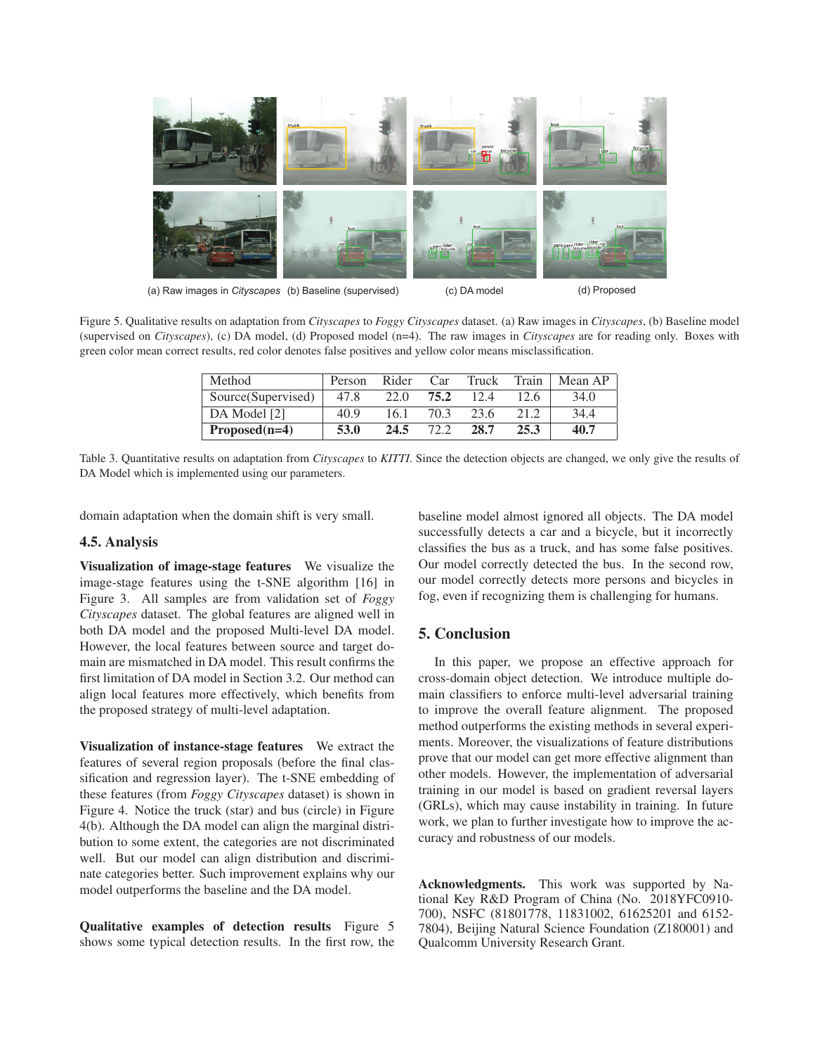

Figure 5. Qualitative results on adaptation from *Cityscapes* to *Foggy Cityscapes* dataset. (a) Raw images in *Cityscapes*, (b) Baseline model (supervised on *Cityscapes*), (c) DA model, (d) Proposed model (n=4). The raw images in *Cityscapes* are for reading only. Boxes with green color mean correct results, red color denotes false positives and yellow color means misclassification.

| Method             | Person | Rider | Car  | Truck | Train | Mean AP |
|--------------------|--------|-------|------|-------|-------|---------|
| Source(Supervised) | 47.8   | 22.0  | 75.2 | 12.4  | 12.6  | 34.0    |
| DA Model [2]       | 40.9   | 16.1  | 70.3 | 23.6  | 21.2  | 34.4    |
| $Proposed(n=4)$    | 53.0   | 24.5  | 72.2 | 28.7  | 25.3  | 40.7    |

Table 3. Quantitative results on adaptation from *Cityscapes* to *KITTI*. Since the detection objects are changed, we only give the results of DA Model which is implemented using our parameters.

domain adaptation when the domain shift is very small.

## 4.5. Analysis

Visualization of image-stage features We visualize the image-stage features using the t-SNE algorithm [16] in Figure 3. All samples are from validation set of *Foggy Cityscapes* dataset. The global features are aligned well in both DA model and the proposed Multi-level DA model. However, the local features between source and target domain are mismatched in DA model. This result confirms the first limitation of DA model in Section 3.2. Our method can align local features more effectively, which benefits from the proposed strategy of multi-level adaptation.

Visualization of instance-stage features We extract the features of several region proposals (before the final classification and regression layer). The t-SNE embedding of these features (from *Foggy Cityscapes* dataset) is shown in Figure 4. Notice the truck (star) and bus (circle) in Figure 4(b). Although the DA model can align the marginal distribution to some extent, the categories are not discriminated well. But our model can align distribution and discriminate categories better. Such improvement explains why our model outperforms the baseline and the DA model.

Qualitative examples of detection results Figure 5 shows some typical detection results. In the first row, the baseline model almost ignored all objects. The DA model successfully detects a car and a bicycle, but it incorrectly classifies the bus as a truck, and has some false positives. Our model correctly detected the bus. In the second row, our model correctly detects more persons and bicycles in fog, even if recognizing them is challenging for humans.

# 5. Conclusion

In this paper, we propose an effective approach for cross-domain object detection. We introduce multiple domain classifiers to enforce multi-level adversarial training to improve the overall feature alignment. The proposed method outperforms the existing methods in several experiments. Moreover, the visualizations of feature distributions prove that our model can get more effective alignment than other models. However, the implementation of adversarial training in our model is based on gradient reversal layers (GRLs), which may cause instability in training. In future work, we plan to further investigate how to improve the accuracy and robustness of our models.

Acknowledgments. This work was supported by National Key R&D Program of China (No. 2018YFC0910- 700), NSFC (81801778, 11831002, 61625201 and 6152- 7804), Beijing Natural Science Foundation (Z180001) and Qualcomm University Research Grant.